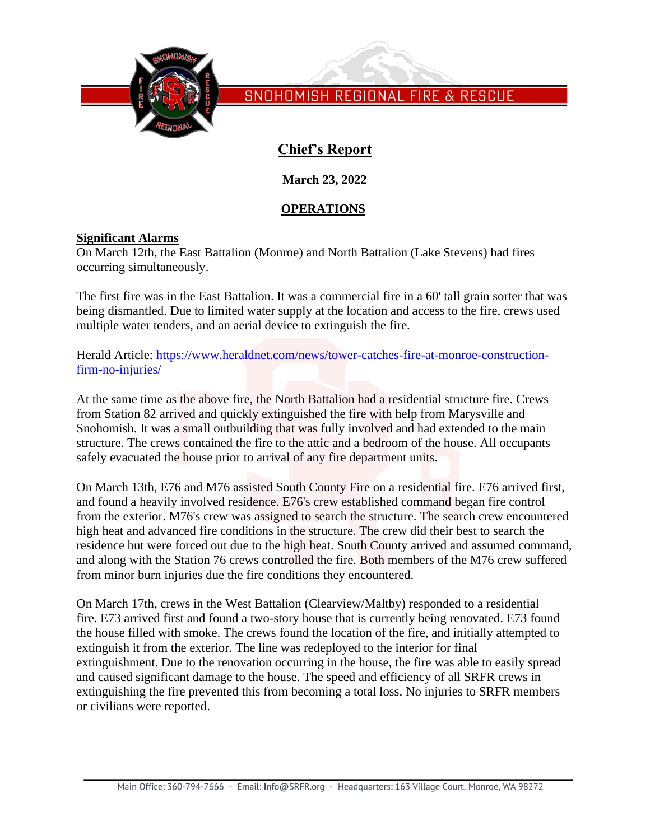

# **Chief's Report**

**March 23, 2022**

### **OPERATIONS**

### **Significant Alarms**

On March 12th, the East Battalion (Monroe) and North Battalion (Lake Stevens) had fires occurring simultaneously.

The first fire was in the East Battalion. It was a commercial fire in a 60' tall grain sorter that was being dismantled. Due to limited water supply at the location and access to the fire, crews used multiple water tenders, and an aerial device to extinguish the fire.

Herald Article: [https://www.heraldnet.com/news/tower-catches-fire-at-monroe-construction](https://www.heraldnet.com/news/tower-catches-fire-at-monroe-construction-firm-no-injuries/)[firm-no-injuries/](https://www.heraldnet.com/news/tower-catches-fire-at-monroe-construction-firm-no-injuries/)

At the same time as the above fire, the North Battalion had a residential structure fire. Crews from Station 82 arrived and quickly extinguished the fire with help from Marysville and Snohomish. It was a small outbuilding that was fully involved and had extended to the main structure. The crews contained the fire to the attic and a bedroom of the house. All occupants safely evacuated the house prior to arrival of any fire department units.

On March 13th, E76 and M76 assisted South County Fire on a residential fire. E76 arrived first, and found a heavily involved residence. E76's crew established command began fire control from the exterior. M76's crew was assigned to search the structure. The search crew encountered high heat and advanced fire conditions in the structure. The crew did their best to search the residence but were forced out due to the high heat. South County arrived and assumed command, and along with the Station 76 crews controlled the fire. Both members of the M76 crew suffered from minor burn injuries due the fire conditions they encountered.

On March 17th, crews in the West Battalion (Clearview/Maltby) responded to a residential fire. E73 arrived first and found a two-story house that is currently being renovated. E73 found the house filled with smoke. The crews found the location of the fire, and initially attempted to extinguish it from the exterior. The line was redeployed to the interior for final extinguishment. Due to the renovation occurring in the house, the fire was able to easily spread and caused significant damage to the house. The speed and efficiency of all SRFR crews in extinguishing the fire prevented this from becoming a total loss. No injuries to SRFR members or civilians were reported.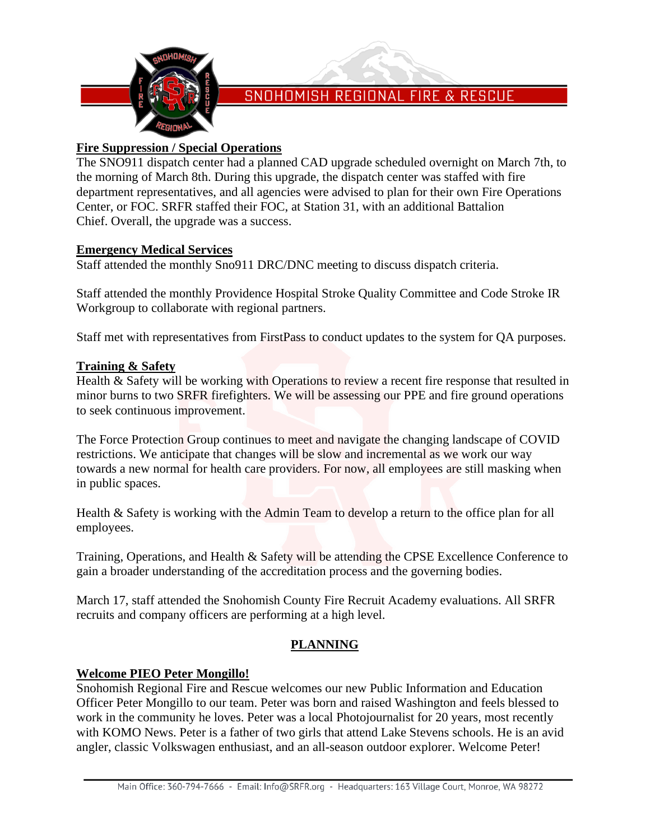

### **Fire Suppression / Special Operations**

The SNO911 dispatch center had a planned CAD upgrade scheduled overnight on March 7th, to the morning of March 8th. During this upgrade, the dispatch center was staffed with fire department representatives, and all agencies were advised to plan for their own Fire Operations Center, or FOC. SRFR staffed their FOC, at Station 31, with an additional Battalion Chief. Overall, the upgrade was a success.

#### **Emergency Medical Services**

Staff attended the monthly Sno911 DRC/DNC meeting to discuss dispatch criteria.

Staff attended the monthly Providence Hospital Stroke Quality Committee and Code Stroke IR Workgroup to collaborate with regional partners.

Staff met with representatives from FirstPass to conduct updates to the system for QA purposes.

#### **Training & Safety**

Health & Safety will be working with Operations to review a recent fire response that resulted in minor burns to two SRFR firefighters. We will be assessing our PPE and fire ground operations to seek continuous improvement.

The Force Protection Group continues to meet and navigate the changing landscape of COVID restrictions. We anticipate that changes will be slow and incremental as we work our way towards a new normal for health care providers. For now, all employees are still masking when in public spaces.

Health & Safety is working with the Admin Team to develop a return to the office plan for all employees.

Training, Operations, and Health & Safety will be attending the CPSE Excellence Conference to gain a broader understanding of the accreditation process and the governing bodies.

March 17, staff attended the Snohomish County Fire Recruit Academy evaluations. All SRFR recruits and company officers are performing at a high level.

## **PLANNING**

### **Welcome PIEO Peter Mongillo!**

Snohomish Regional Fire and Rescue welcomes our new Public Information and Education Officer Peter Mongillo to our team. Peter was born and raised Washington and feels blessed to work in the community he loves. Peter was a local Photojournalist for 20 years, most recently with KOMO News. Peter is a father of two girls that attend Lake Stevens schools. He is an avid angler, classic Volkswagen enthusiast, and an all-season outdoor explorer. Welcome Peter!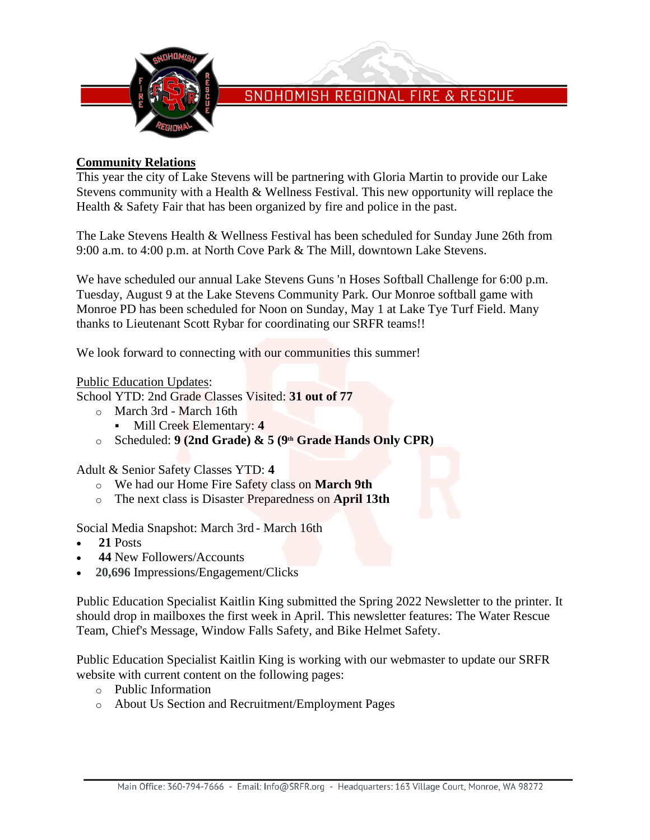

### **Community Relations**

This year the city of Lake Stevens will be partnering with Gloria Martin to provide our Lake Stevens community with a Health & Wellness Festival. This new opportunity will replace the Health & Safety Fair that has been organized by fire and police in the past.

The Lake Stevens Health & Wellness Festival has been scheduled for Sunday June 26th from 9:00 a.m. to 4:00 p.m. at North Cove Park & The Mill, downtown Lake Stevens.

We have scheduled our annual Lake Stevens Guns 'n Hoses Softball Challenge for 6:00 p.m. Tuesday, August 9 at the Lake Stevens Community Park. Our Monroe softball game with Monroe PD has been scheduled for Noon on Sunday, May 1 at Lake Tye Turf Field. Many thanks to Lieutenant Scott Rybar for coordinating our SRFR teams!!

We look forward to connecting with our communities this summer!

#### Public Education Updates:

School YTD: 2nd Grade Classes Visited: **31 out of 77**

- o March 3rd March 16th
	- Mill Creek Elementary: **4**
- o Scheduled: **9 (2nd Grade) & 5 (9th Grade Hands Only CPR)**

Adult & Senior Safety Classes YTD: **4**

- o We had our Home Fire Safety class on **March 9th**
- o The next class is Disaster Preparedness on **April 13th**

Social Media Snapshot: March 3rd - March 16th

- **21** Posts
- **44** New Followers/Accounts
- **20,696** Impressions/Engagement/Clicks

Public Education Specialist Kaitlin King submitted the Spring 2022 Newsletter to the printer. It should drop in mailboxes the first week in April. This newsletter features: The Water Rescue Team, Chief's Message, Window Falls Safety, and Bike Helmet Safety.

Public Education Specialist Kaitlin King is working with our webmaster to update our SRFR website with current content on the following pages:

- o Public Information
- o About Us Section and Recruitment/Employment Pages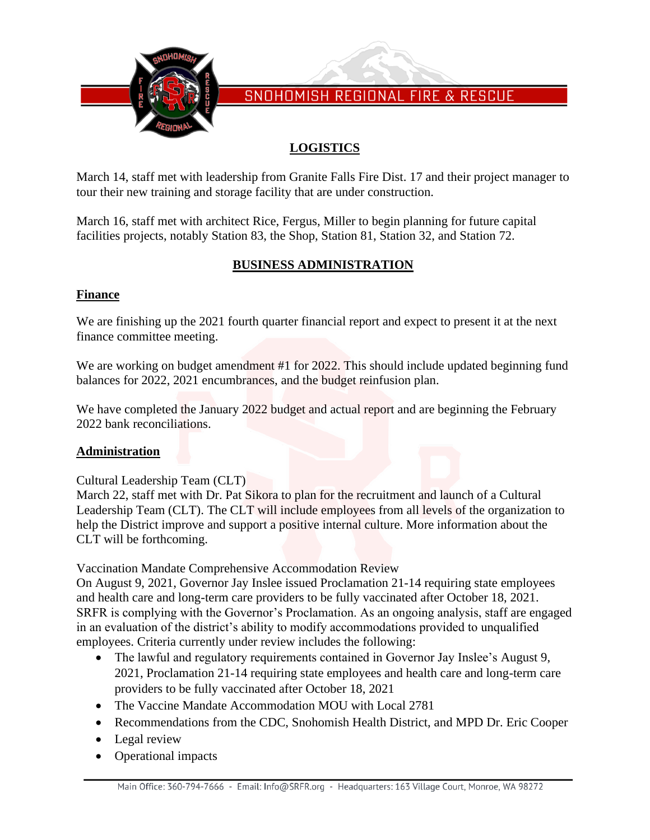

# **LOGISTICS**

March 14, staff met with leadership from Granite Falls Fire Dist. 17 and their project manager to tour their new training and storage facility that are under construction.

March 16, staff met with architect Rice, Fergus, Miller to begin planning for future capital facilities projects, notably Station 83, the Shop, Station 81, Station 32, and Station 72.

### **BUSINESS ADMINISTRATION**

### **Finance**

We are finishing up the 2021 fourth quarter financial report and expect to present it at the next finance committee meeting.

We are working on budget amendment #1 for 2022. This should include updated beginning fund balances for 2022, 2021 encumbrances, and the budget reinfusion plan.

We have completed the January 2022 budget and actual report and are beginning the February 2022 bank reconciliations.

### **Administration**

Cultural Leadership Team (CLT)

March 22, staff met with Dr. Pat Sikora to plan for the recruitment and launch of a Cultural Leadership Team (CLT). The CLT will include employees from all levels of the organization to help the District improve and support a positive internal culture. More information about the CLT will be forthcoming.

Vaccination Mandate Comprehensive Accommodation Review

On August 9, 2021, Governor Jay Inslee issued Proclamation 21-14 requiring state employees and health care and long-term care providers to be fully vaccinated after October 18, 2021. SRFR is complying with the Governor's Proclamation. As an ongoing analysis, staff are engaged in an evaluation of the district's ability to modify accommodations provided to unqualified employees. Criteria currently under review includes the following:

- The lawful and regulatory requirements contained in Governor Jay Inslee's August 9, 2021, Proclamation 21-14 requiring state employees and health care and long-term care providers to be fully vaccinated after October 18, 2021
- The Vaccine Mandate Accommodation MOU with Local 2781
- Recommendations from the CDC, Snohomish Health District, and MPD Dr. Eric Cooper
- Legal review
- Operational impacts